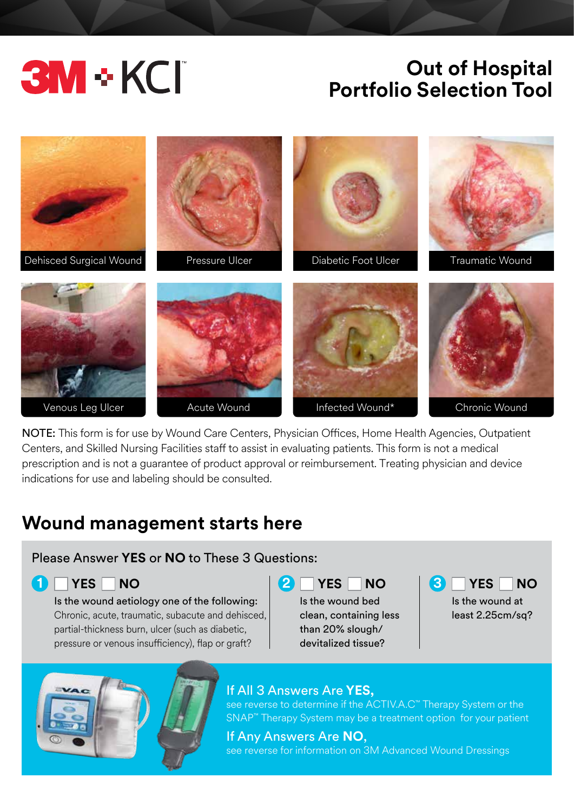# **3M + KCI**

# **Out of Hospital Portfolio Selection Tool**



NOTE: This form is for use by Wound Care Centers, Physician Offices, Home Health Agencies, Outpatient Centers, and Skilled Nursing Facilities staff to assist in evaluating patients. This form is not a medical prescription and is not a guarantee of product approval or reimbursement. Treating physician and device indications for use and labeling should be consulted.

## **Wound management starts here**

### Please Answer **YES** or **NO** to These 3 Questions:

Is the wound aetiology one of the following: Chronic, acute, traumatic, subacute and dehisced, partial-thickness burn, ulcer (such as diabetic, pressure or venous insufficiency), flap or graft?

Is the wound bed clean, containing less than 20% slough/ devitalized tissue?



### If All 3 Answers Are **YES,**

see reverse to determine if the ACTIV.A.C™ Therapy System or the SNAP™ Therapy System may be a treatment option for your patient

If Any Answers Are **NO**, see reverse for information on 3M Advanced Wound Dressings